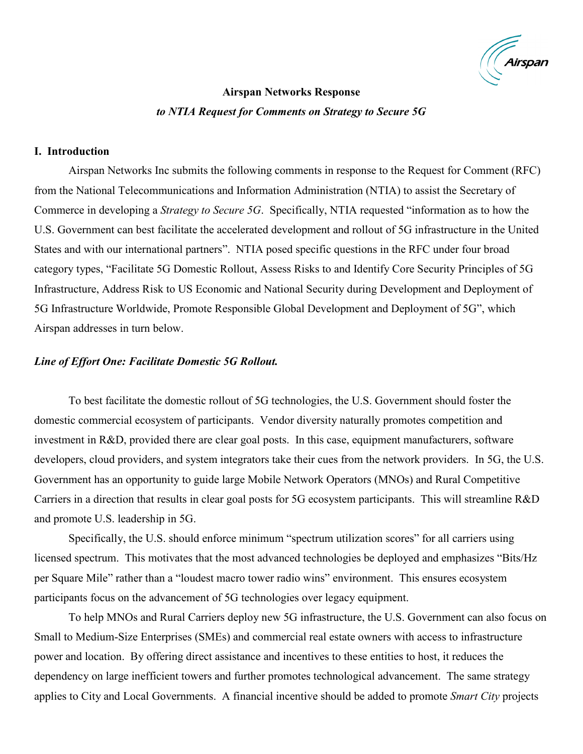

# **Airspan Networks Response** *to NTIA Request for Comments on Strategy to Secure 5G*

#### **I. Introduction**

Airspan Networks Inc submits the following comments in response to the Request for Comment (RFC) from the National Telecommunications and Information Administration (NTIA) to assist the Secretary of Commerce in developing a *Strategy to Secure 5G*. Specifically, NTIA requested "information as to how the U.S. Government can best facilitate the accelerated development and rollout of 5G infrastructure in the United States and with our international partners". NTIA posed specific questions in the RFC under four broad category types, "Facilitate 5G Domestic Rollout, Assess Risks to and Identify Core Security Principles of 5G Infrastructure, Address Risk to US Economic and National Security during Development and Deployment of 5G Infrastructure Worldwide, Promote Responsible Global Development and Deployment of 5G", which Airspan addresses in turn below.

## *Line of Effort One: Facilitate Domestic 5G Rollout.*

To best facilitate the domestic rollout of 5G technologies, the U.S. Government should foster the domestic commercial ecosystem of participants. Vendor diversity naturally promotes competition and investment in R&D, provided there are clear goal posts. In this case, equipment manufacturers, software developers, cloud providers, and system integrators take their cues from the network providers. In 5G, the U.S. Government has an opportunity to guide large Mobile Network Operators (MNOs) and Rural Competitive Carriers in a direction that results in clear goal posts for 5G ecosystem participants. This will streamline R&D and promote U.S. leadership in 5G.

Specifically, the U.S. should enforce minimum "spectrum utilization scores" for all carriers using licensed spectrum. This motivates that the most advanced technologies be deployed and emphasizes "Bits/Hz per Square Mile" rather than a "loudest macro tower radio wins" environment. This ensures ecosystem participants focus on the advancement of 5G technologies over legacy equipment.

To help MNOs and Rural Carriers deploy new 5G infrastructure, the U.S. Government can also focus on Small to Medium-Size Enterprises (SMEs) and commercial real estate owners with access to infrastructure power and location. By offering direct assistance and incentives to these entities to host, it reduces the dependency on large inefficient towers and further promotes technological advancement. The same strategy applies to City and Local Governments. A financial incentive should be added to promote *Smart City* projects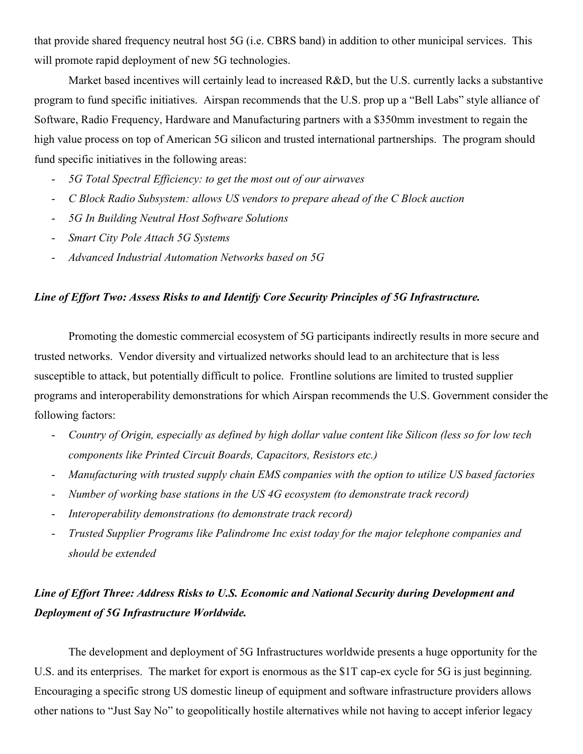that provide shared frequency neutral host 5G (i.e. CBRS band) in addition to other municipal services. This will promote rapid deployment of new 5G technologies.

Market based incentives will certainly lead to increased R&D, but the U.S. currently lacks a substantive program to fund specific initiatives. Airspan recommends that the U.S. prop up a "Bell Labs" style alliance of Software, Radio Frequency, Hardware and Manufacturing partners with a \$350mm investment to regain the high value process on top of American 5G silicon and trusted international partnerships. The program should fund specific initiatives in the following areas:

- *5G Total Spectral Efficiency: to get the most out of our airwaves*
- *C Block Radio Subsystem: allows US vendors to prepare ahead of the C Block auction*
- *5G In Building Neutral Host Software Solutions*
- *Smart City Pole Attach 5G Systems*
- *Advanced Industrial Automation Networks based on 5G*

## *Line of Effort Two: Assess Risks to and Identify Core Security Principles of 5G Infrastructure.*

Promoting the domestic commercial ecosystem of 5G participants indirectly results in more secure and trusted networks. Vendor diversity and virtualized networks should lead to an architecture that is less susceptible to attack, but potentially difficult to police. Frontline solutions are limited to trusted supplier programs and interoperability demonstrations for which Airspan recommends the U.S. Government consider the following factors:

- *Country of Origin, especially as defined by high dollar value content like Silicon (less so for low tech components like Printed Circuit Boards, Capacitors, Resistors etc.)*
- *Manufacturing with trusted supply chain EMS companies with the option to utilize US based factories*
- *Number of working base stations in the US 4G ecosystem (to demonstrate track record)*
- *Interoperability demonstrations (to demonstrate track record)*
- *Trusted Supplier Programs like Palindrome Inc exist today for the major telephone companies and should be extended*

# *Line of Effort Three: Address Risks to U.S. Economic and National Security during Development and Deployment of 5G Infrastructure Worldwide.*

The development and deployment of 5G Infrastructures worldwide presents a huge opportunity for the U.S. and its enterprises. The market for export is enormous as the \$1T cap-ex cycle for 5G is just beginning. Encouraging a specific strong US domestic lineup of equipment and software infrastructure providers allows other nations to "Just Say No" to geopolitically hostile alternatives while not having to accept inferior legacy